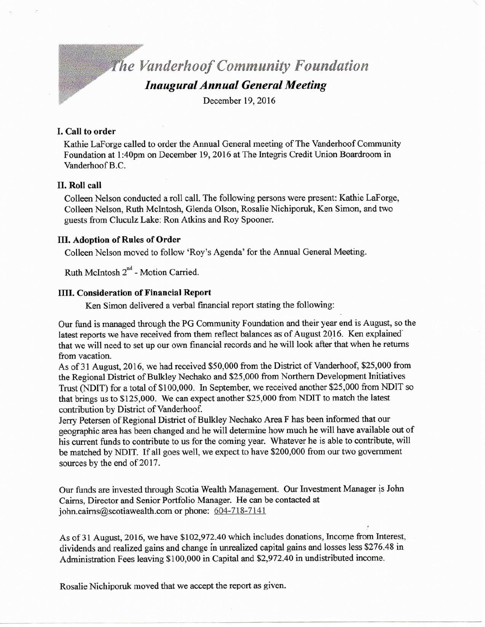# The Vanderhoof Community Foundation

## **Inaugural Annual General Meeting**

December 19, 2016

#### I. CalI to order

Kathie LaForge called to order the Annual General meeting of The Vanderhoof Community Foundation at 1:40pm on December 19, 2016 at The Integris Credit Union Boardroom in Vanderhoof B.C.

#### II.RoIIcall

Co11een Nelson conducted a roll call. The following persons were present: Kathie LaForge, Colleen Nelson, Ruth McIntosh, Glenda OIson, Rosalie Nichiponk, Ken Simon, and two guests from Cluculz Lake: Ron Atkins and Roy Spooner.

#### IⅡ. Adoption of Rules of Order

Colleen Nelson moved to follow 'Roy's Agenda' for the Annual General Meeting.

Ruth McIntosh  $2<sup>nd</sup>$  - Motion Carried.

### IⅡI. Consideration of Financial Report

Ken Simon delivered a verbal financial report stating the following:

Our fund is managed through the PG Community Foundation and their year end is August, so the latest reports we have received from them reflect balances as of August 2016. Ken explained that we will need to set up our own financial records and he will look after that when he returns from vacation.

As of 31 August, 2016, we had received \$50,000 from the District of Vanderhoof, \$25,000 from the Regional District of Bulkley Nechako and \$25,000 from Northern Development Initiatives Trust (NDIT) for a total of \$100,000. In September, we received another \$25,000 from NDIT so that brings us to  $$125,000$ . We can expect another  $$25,000$  from NDIT to match the latest contribution by District of Vanderhoof.

Jerry Petersen of Regional District of Bulkley Nechako Area F has been informed that our geographic area has been changed and he will determine how much he will have available out of his current funds to contribute to us for the coming year. Whatever he is able to contribute, will be matched by NDIT. If all goes well, we expect to have \$200,000 from our two government sources by the end of 2017.

Our funds are invested through Scotia Wealth Management. Our Investment Manager is John Caims, Director and Senior Portfolio Manager. He can be contacted at john.cairns@scotiawealth.com or phone:  $604-718-7141$ 

As of 31 August, 2016, we have \$102,972.40 which includes donations, Income from Interest, dividends and realized gains and change in unrealized capital gains and losses less \$276.48 in Administration Fees leaving \$100,000 in Capital and \$2,972.40 in undistributed income.

Rosalie Nichiporuk moved that we accept the report as given.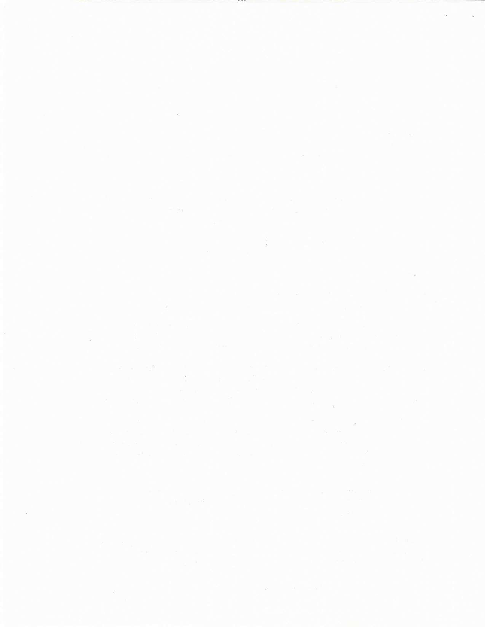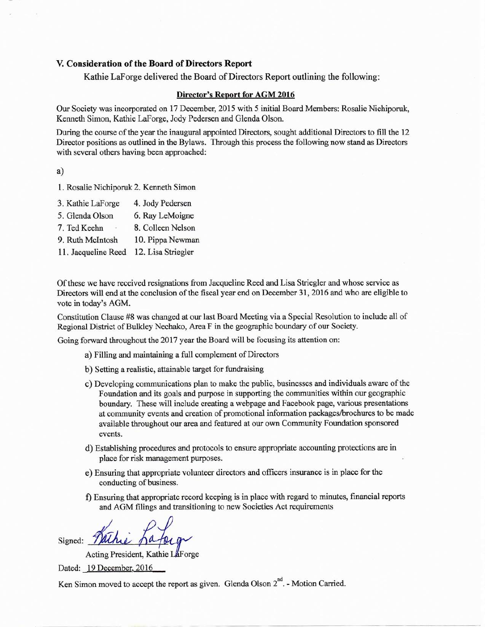#### V. Consideration of the Board of Directors Report

Kathie LaForge delivered the Board of Directors Report outlining the following:

#### Director's Report for AGM 2016

Our Society was incorporated on 17 December, 2015 with 5 initial Board Members: Rosalie Nichiporuk, Kenneth Simon, Kathie LaForge, Jody Pedersen and Glenda Olson.

During the course of the year the inaugural appointed Directors, sought additional Directors to fill the 12 Director positions as outlined in the Bylaws. Through this process the following now stand as Directors with several others having been approached:

a)

1. Rosalie Nichiporuk 2. Kenneth Simon

- 3. Kathie LaForge 4. Jody Pedersen
- 5. Glenda OIson 6. Ray LeMoigne
- 7. Ted Keehn 8. Colleen Nelson
- 9. Ruth McIntosh 10. Pippa Newman
- 11. Jacqueline Reed 12. Lisa Striegler

Of these we have received resignations from Jacqueline Reed and Lisa Striegler and whose service as Directors will end at the conclusion of the fiscal year end on December 31, 2016 and who are eligible to vote in today's AGM.

Constitution Clause #8 was changed at our last Board Meeting via a Special Resolution to include all of Regional District of Bulkley Nechako, Area F in the geographic boundary of our Society.

Going forward throughout the 2017 year the Board will be focusing its attention on:

- a) Filling and maintaining a full complement of Directors
- b) Setting a realistic, attainable target for fundraising
- c) Developing communications plan to make the public, businesses and individuals aware of the Foundation and its goals and purpose in supporting the communities within our geographic boundary, These will include creating a webpage and Facebook page, Various presentations at community events and creation of promotional information packages/brochures to be made available throughout our area and featured at our own Community Foundation sponsored events.
- d) Establishing procedures and protocols to ensure appropriate accounting protections are in place for risk management purposes.
- e) Ensuring that appropriate volunteer directors and officers insurance is in place for the conducting of business.
- f) Ensuring that appropriate record keeping is in place with regard to minutes, financial reports and AGM filings and transitioning to new Societies Act requirements

Signed: *Mal* 

Acting President, Kathie LaForge

Dated: 19 December, 2016

Ken Simon moved to accept the report as given. Glenda Olson  $2^{nd}$ . - Motion Carried.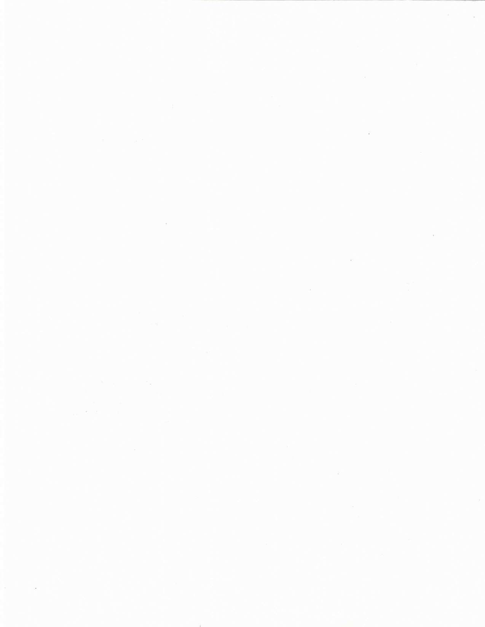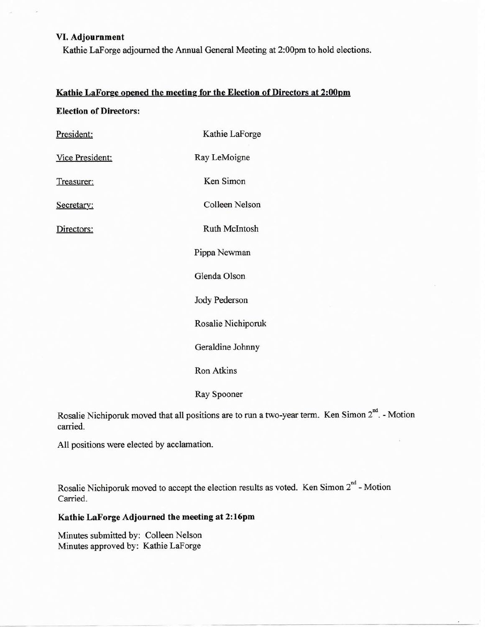#### VI. Adjournment

Kathie LaForge adjourned the Annual General Meeting at 2:00pm to hold elections.

## Kathie LaForge opened the meeting for the Election of Directors at 2:00pm

## **Election of Directors:**

| President:      | Kathie LaForge       |
|-----------------|----------------------|
| Vice President: | Ray LeMoigne         |
| Treasurer:      | Ken Simon            |
| Secretary:      | Colleen Nelson       |
| Directors:      | <b>Ruth McIntosh</b> |
|                 | Pippa Newman         |
|                 | Glenda Olson         |
|                 | Jody Pederson        |
|                 | Rosalie Nichiporuk   |
|                 | Geraldine Johnny     |
|                 | <b>Ron Atkins</b>    |
|                 | Ray Spooner          |

Rosalie Nichiporuk moved that all positions are to run a two-year term. Ken Simon  $2<sup>nd</sup>$ . - Motion carried.

All positions were elected by acclamation.

Rosalie Nichiporuk moved to accept the election results as voted. Ken Simon  $2^{nd}$  - Motion Carried.

## Kathie LaForge Adjourned the meeting at 2:16pm

Minutes submitted by: Colleen Nelson Minutes approved by: Kathie LaForge